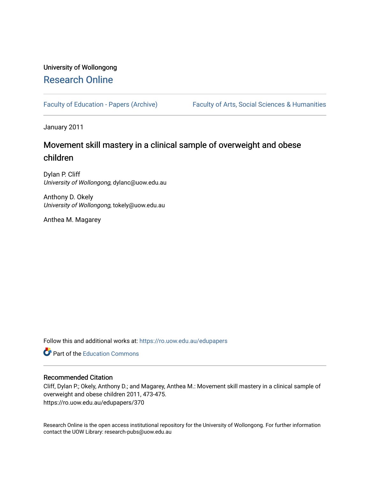# University of Wollongong [Research Online](https://ro.uow.edu.au/)

[Faculty of Education - Papers \(Archive\)](https://ro.uow.edu.au/edupapers) Faculty of Arts, Social Sciences & Humanities

January 2011

# Movement skill mastery in a clinical sample of overweight and obese children

Dylan P. Cliff University of Wollongong, dylanc@uow.edu.au

Anthony D. Okely University of Wollongong, tokely@uow.edu.au

Anthea M. Magarey

Follow this and additional works at: [https://ro.uow.edu.au/edupapers](https://ro.uow.edu.au/edupapers?utm_source=ro.uow.edu.au%2Fedupapers%2F370&utm_medium=PDF&utm_campaign=PDFCoverPages) 

**C** Part of the [Education Commons](http://network.bepress.com/hgg/discipline/784?utm_source=ro.uow.edu.au%2Fedupapers%2F370&utm_medium=PDF&utm_campaign=PDFCoverPages)

### Recommended Citation

Cliff, Dylan P.; Okely, Anthony D.; and Magarey, Anthea M.: Movement skill mastery in a clinical sample of overweight and obese children 2011, 473-475. https://ro.uow.edu.au/edupapers/370

Research Online is the open access institutional repository for the University of Wollongong. For further information contact the UOW Library: research-pubs@uow.edu.au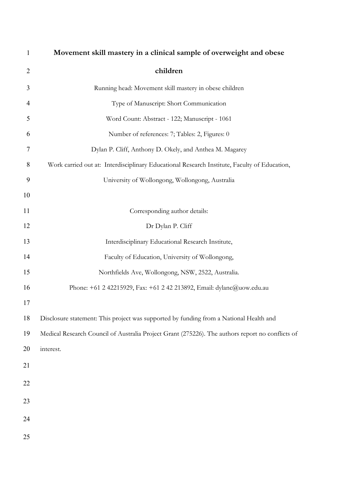| $\mathbf{1}$   | Movement skill mastery in a clinical sample of overweight and obese                              |
|----------------|--------------------------------------------------------------------------------------------------|
| $\overline{2}$ | children                                                                                         |
| 3              | Running head: Movement skill mastery in obese children                                           |
| 4              | Type of Manuscript: Short Communication                                                          |
| 5              | Word Count: Abstract - 122; Manuscript - 1061                                                    |
| 6              | Number of references: 7; Tables: 2, Figures: 0                                                   |
| $\overline{7}$ | Dylan P. Cliff, Anthony D. Okely, and Anthea M. Magarey                                          |
| 8              | Work carried out at: Interdisciplinary Educational Research Institute, Faculty of Education,     |
| 9              | University of Wollongong, Wollongong, Australia                                                  |
| 10             |                                                                                                  |
| 11             | Corresponding author details:                                                                    |
| 12             | Dr Dylan P. Cliff                                                                                |
| 13             | Interdisciplinary Educational Research Institute,                                                |
| 14             | Faculty of Education, University of Wollongong,                                                  |
| 15             | Northfields Ave, Wollongong, NSW, 2522, Australia.                                               |
| 16             | Phone: +61 2 42215929, Fax: +61 2 42 213892, Email: dylanc@uow.edu.au                            |
| 17             |                                                                                                  |
| 18             | Disclosure statement: This project was supported by funding from a National Health and           |
| 19             | Medical Research Council of Australia Project Grant (275226). The authors report no conflicts of |
| 20             | interest.                                                                                        |
| 21             |                                                                                                  |
| 22             |                                                                                                  |
| 23             |                                                                                                  |
| 24             |                                                                                                  |
|                |                                                                                                  |
| 25             |                                                                                                  |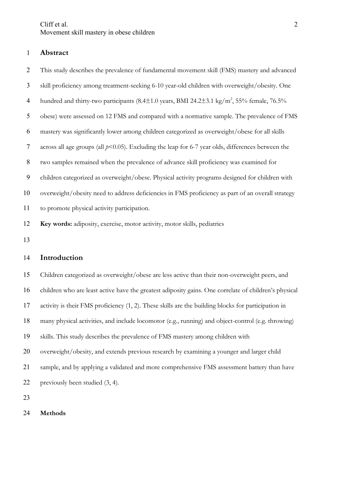### **Abstract**

 This study describes the prevalence of fundamental movement skill (FMS) mastery and advanced skill proficiency among treatment-seeking 6-10 year-old children with overweight/obesity. One 4 hundred and thirty-two participants  $(8.4 \pm 1.0 \text{ years}, \text{BMI } 24.2 \pm 3.1 \text{ kg/m}^2, 55\% \text{ female}, 76.5\%$  obese) were assessed on 12 FMS and compared with a normative sample. The prevalence of FMS mastery was significantly lower among children categorized as overweight/obese for all skills across all age groups (all *p*<0.05). Excluding the leap for 6-7 year olds, differences between the two samples remained when the prevalence of advance skill proficiency was examined for children categorized as overweight/obese. Physical activity programs designed for children with overweight/obesity need to address deficiencies in FMS proficiency as part of an overall strategy to promote physical activity participation. **Key words:** adiposity, exercise, motor activity, motor skills, pediatrics

## **Introduction**

 Children categorized as overweight/obese are less active than their non-overweight peers, and children who are least active have the greatest adiposity gains. One correlate of children's physical activity is their FMS proficiency (1, 2). These skills are the building blocks for participation in many physical activities, and include locomotor (e.g., running) and object-control (e.g. throwing) skills. This study describes the prevalence of FMS mastery among children with overweight/obesity, and extends previous research by examining a younger and larger child sample, and by applying a validated and more comprehensive FMS assessment battery than have previously been studied (3, 4).

#### **Methods**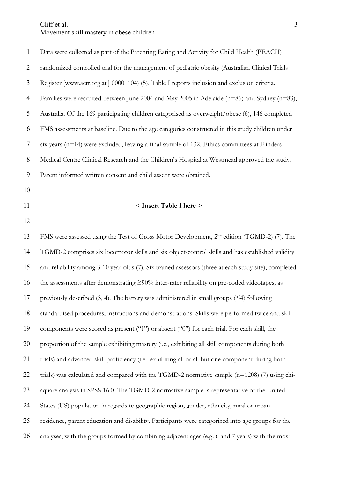| 1  | Data were collected as part of the Parenting Eating and Activity for Child Health (PEACH)            |
|----|------------------------------------------------------------------------------------------------------|
| 2  | randomized controlled trial for the management of pediatric obesity (Australian Clinical Trials      |
| 3  | Register [www.actr.org.au] 00001104) (5). Table I reports inclusion and exclusion criteria.          |
| 4  | Families were recruited between June 2004 and May 2005 in Adelaide ( $n=86$ ) and Sydney ( $n=83$ ), |
| 5  | Australia. Of the 169 participating children categorised as overweight/obese (6), 146 completed      |
| 6  | FMS assessments at baseline. Due to the age categories constructed in this study children under      |
| 7  | six years $(n=14)$ were excluded, leaving a final sample of 132. Ethics committees at Flinders       |
| 8  | Medical Centre Clinical Research and the Children's Hospital at Westmead approved the study.         |
| 9  | Parent informed written consent and child assent were obtained.                                      |
| 10 |                                                                                                      |

#### < **Insert Table 1 here** >

13 FMS were assessed using the Test of Gross Motor Development,  $2^{nd}$  edition (TGMD-2) (7). The TGMD-2 comprises six locomotor skills and six object-control skills and has established validity and reliability among 3-10 year-olds (7). Six trained assessors (three at each study site), completed 16 the assessments after demonstrating  $\geq$ 90% inter-rater reliability on pre-coded videotapes, as 17 previously described (3, 4). The battery was administered in small groups  $(\leq 4)$  following standardised procedures, instructions and demonstrations. Skills were performed twice and skill components were scored as present ("1") or absent ("0") for each trial. For each skill, the proportion of the sample exhibiting mastery (i.e., exhibiting all skill components during both trials) and advanced skill proficiency (i.e., exhibiting all or all but one component during both 22 trials) was calculated and compared with the TGMD-2 normative sample (n=1208) (7) using chi- square analysis in SPSS 16.0. The TGMD-2 normative sample is representative of the United States (US) population in regards to geographic region, gender, ethnicity, rural or urban residence, parent education and disability. Participants were categorized into age groups for the analyses, with the groups formed by combining adjacent ages (e.g. 6 and 7 years) with the most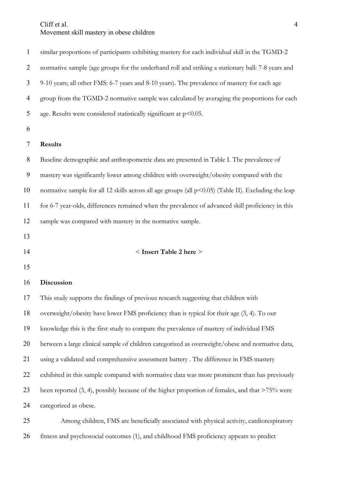similar proportions of participants exhibiting mastery for each individual skill in the TGMD-2 normative sample (age groups for the underhand roll and striking a stationary ball: 7-8 years and 9-10 years; all other FMS: 6-7 years and 8-10 years). The prevalence of mastery for each age group from the TGMD-2 normative sample was calculated by averaging the proportions for each 5 age. Results were considered statistically significant at  $p<0.05$ .

## **Results**

 Baseline demographic and anthropometric data are presented in Table I. The prevalence of mastery was significantly lower among children with overweight/obesity compared with the normative sample for all 12 skills across all age groups (all p<0.05) (Table II). Excluding the leap for 6-7 year-olds, differences remained when the prevalence of advanced skill proficiency in this sample was compared with mastery in the normative sample.

- 
- 

#### < **Insert Table 2 here** >

#### **Discussion**

 This study supports the findings of previous research suggesting that children with overweight/obesity have lower FMS proficiency than is typical for their age (3, 4). To our knowledge this is the first study to compare the prevalence of mastery of individual FMS between a large clinical sample of children categorized as overweight/obese and normative data, using a validated and comprehensive assessment battery . The difference in FMS mastery exhibited in this sample compared with normative data was more prominent than has previously 23 been reported (3, 4), possibly because of the higher proportion of females, and that  $>75\%$  were categorized as obese. Among children, FMS are beneficially associated with physical activity, cardiorespiratory

fitness and psychosocial outcomes (1), and childhood FMS proficiency appears to predict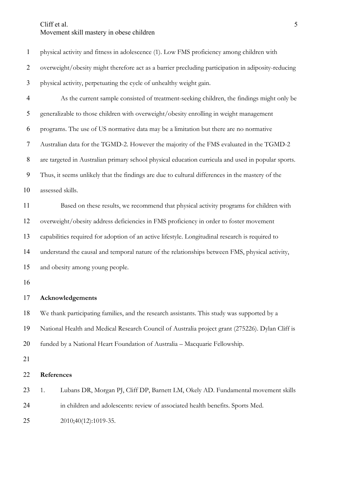| $\mathbf{1}$   | physical activity and fitness in adolescence (1). Low FMS proficiency among children with          |  |  |  |  |  |  |
|----------------|----------------------------------------------------------------------------------------------------|--|--|--|--|--|--|
| $\overline{2}$ | overweight/obesity might therefore act as a barrier precluding participation in adiposity-reducing |  |  |  |  |  |  |
| 3              | physical activity, perpetuating the cycle of unhealthy weight gain.                                |  |  |  |  |  |  |
| $\overline{4}$ | As the current sample consisted of treatment-seeking children, the findings might only be          |  |  |  |  |  |  |
| 5              | generalizable to those children with overweight/obesity enrolling in weight management             |  |  |  |  |  |  |
| 6              | programs. The use of US normative data may be a limitation but there are no normative              |  |  |  |  |  |  |
| 7              | Australian data for the TGMD-2. However the majority of the FMS evaluated in the TGMD-2            |  |  |  |  |  |  |
| 8              | are targeted in Australian primary school physical education curricula and used in popular sports. |  |  |  |  |  |  |
| 9              | Thus, it seems unlikely that the findings are due to cultural differences in the mastery of the    |  |  |  |  |  |  |
| 10             | assessed skills.                                                                                   |  |  |  |  |  |  |
| 11             | Based on these results, we recommend that physical activity programs for children with             |  |  |  |  |  |  |
| 12             | overweight/obesity address deficiencies in FMS proficiency in order to foster movement             |  |  |  |  |  |  |
| 13             | capabilities required for adoption of an active lifestyle. Longitudinal research is required to    |  |  |  |  |  |  |
| 14             | understand the causal and temporal nature of the relationships between FMS, physical activity,     |  |  |  |  |  |  |
| 15             | and obesity among young people.                                                                    |  |  |  |  |  |  |
| 16             |                                                                                                    |  |  |  |  |  |  |
| 17             | Acknowledgements                                                                                   |  |  |  |  |  |  |
| 18             | We thank participating families, and the research assistants. This study was supported by a        |  |  |  |  |  |  |
| 19             | National Health and Medical Research Council of Australia project grant (275226). Dylan Cliff is   |  |  |  |  |  |  |
| 20             | funded by a National Heart Foundation of Australia - Macquarie Fellowship.                         |  |  |  |  |  |  |
| 21             |                                                                                                    |  |  |  |  |  |  |
| 22             | References                                                                                         |  |  |  |  |  |  |
| 23             | 1.<br>Lubans DR, Morgan PJ, Cliff DP, Barnett LM, Okely AD. Fundamental movement skills            |  |  |  |  |  |  |
| 24             | in children and adolescents: review of associated health benefits. Sports Med.                     |  |  |  |  |  |  |
| 25             | 2010;40(12):1019-35.                                                                               |  |  |  |  |  |  |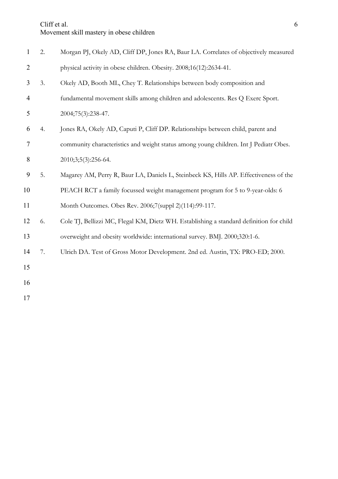| $\mathbf{1}$   | 2. | Morgan PJ, Okely AD, Cliff DP, Jones RA, Baur LA. Correlates of objectively measured    |
|----------------|----|-----------------------------------------------------------------------------------------|
| $\overline{2}$ |    | physical activity in obese children. Obesity. 2008;16(12):2634-41.                      |
| 3              | 3. | Okely AD, Booth ML, Chey T. Relationships between body composition and                  |
| $\overline{4}$ |    | fundamental movement skills among children and adolescents. Res Q Exerc Sport.          |
| 5              |    | 2004;75(3):238-47.                                                                      |
| 6              | 4. | Jones RA, Okely AD, Caputi P, Cliff DP. Relationships between child, parent and         |
| 7              |    | community characteristics and weight status among young children. Int J Pediatr Obes.   |
| 8              |    | 2010;3;5(3):256-64.                                                                     |
| 9              | 5. | Magarey AM, Perry R, Baur LA, Daniels L, Steinbeck KS, Hills AP. Effectiveness of the   |
| 10             |    | PEACH RCT a family focussed weight management program for 5 to 9-year-olds: 6           |
| 11             |    | Month Outcomes. Obes Rev. 2006;7(suppl 2)(114):99-117.                                  |
| 12             | 6. | Cole TJ, Bellizzi MC, Flegal KM, Dietz WH. Establishing a standard definition for child |
| 13             |    | overweight and obesity worldwide: international survey. BMJ. 2000;320:1-6.              |
| 14             | 7. | Ulrich DA. Test of Gross Motor Development. 2nd ed. Austin, TX: PRO-ED; 2000.           |
| 15             |    |                                                                                         |
| 16             |    |                                                                                         |
| 17             |    |                                                                                         |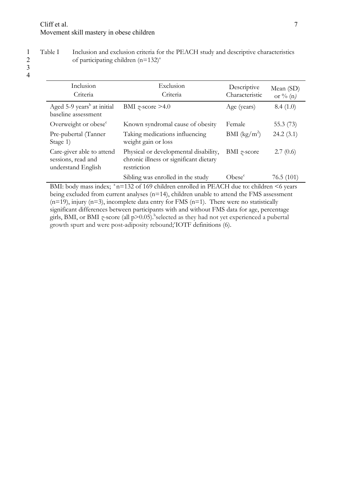$\overline{3}$ 

1 Table I Inclusion and exclusion criteria for the PEACH study and descriptive characteristics<br>2 of participating children  $(n=132)^{a}$ of participating children  $(n=132)^{a}$ 

4

| Inclusion<br>Criteria                                                 | Exclusion<br>Criteria                                                                          | Descriptive<br>Characteristic | Mean (SD)<br>or $\%$ (n) |
|-----------------------------------------------------------------------|------------------------------------------------------------------------------------------------|-------------------------------|--------------------------|
| Aged 5-9 years <sup>b</sup> at initial<br>baseline assessment         | BMI $\gamma$ -score >4.0                                                                       | Age (years)                   | 8.4(1.0)                 |
| Overweight or obese <sup>c</sup>                                      | Known syndromal cause of obesity                                                               | Female                        | 55.3 $(73)$              |
| Pre-pubertal (Tanner<br>Stage 1)                                      | Taking medications influencing<br>weight gain or loss                                          | BMI $(kg/m^2)$                | 24.2(3.1)                |
| Care-giver able to attend<br>sessions, read and<br>understand English | Physical or developmental disability,<br>chronic illness or significant dietary<br>restriction | BMI $\gamma$ -score           | 2.7(0.6)                 |
|                                                                       | Sibling was enrolled in the study                                                              | Obese <sup>c</sup>            | 76.5(101)                |

BMI: body mass index;  $n=132$  of 169 children enrolled in PEACH due to: children  $\leq 6$  years being excluded from current analyses (n=14), children unable to attend the FMS assessment  $(n=19)$ , injury  $(n=3)$ , incomplete data entry for FMS  $(n=1)$ . There were no statistically significant differences between participants with and without FMS data for age, percentage girls, BMI, or BMI *z*-score (all p>0.05).<sup>b</sup> selected as they had not yet experienced a pubertal growth spurt and were post-adiposity rebound; IOTF definitions (6).